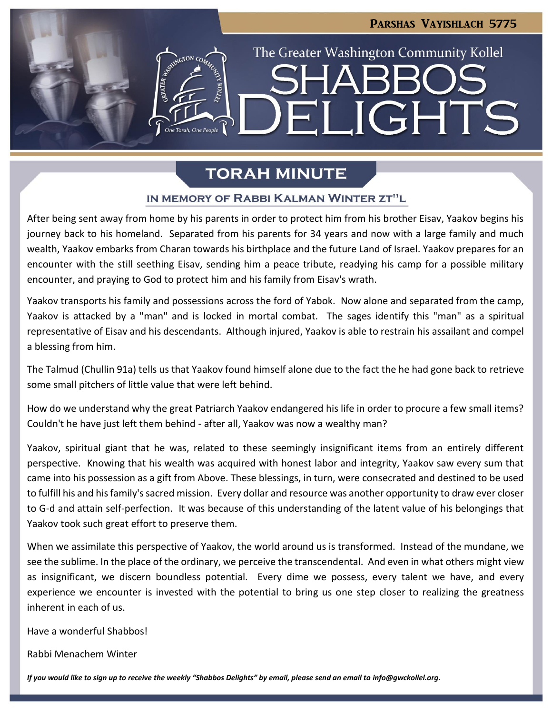# Parshas Vayishlach 5775

**JGHTS** 

The Greater Washington Community Kollel

# **TORAH MINUTE**

 $\blacksquare$ 

### IN MEMORY OF RABBI KALMAN WINTER ZT"L

After being sent away from home by his parents in order to protect him from his brother Eisav, Yaakov begins his journey back to his homeland. Separated from his parents for 34 years and now with a large family and much wealth, Yaakov embarks from Charan towards his birthplace and the future Land of Israel. Yaakov prepares for an encounter with the still seething Eisav, sending him a peace tribute, readying his camp for a possible military encounter, and praying to God to protect him and his family from Eisav's wrath.

Yaakov transports his family and possessions across the ford of Yabok. Now alone and separated from the camp, Yaakov is attacked by a "man" and is locked in mortal combat. The sages identify this "man" as a spiritual representative of Eisav and his descendants. Although injured, Yaakov is able to restrain his assailant and compel a blessing from him.

The Talmud (Chullin 91a) tells us that Yaakov found himself alone due to the fact the he had gone back to retrieve some small pitchers of little value that were left behind.

How do we understand why the great Patriarch Yaakov endangered his life in order to procure a few small items? Couldn't he have just left them behind - after all, Yaakov was now a wealthy man?

Yaakov, spiritual giant that he was, related to these seemingly insignificant items from an entirely different perspective. Knowing that his wealth was acquired with honest labor and integrity, Yaakov saw every sum that came into his possession as a gift from Above. These blessings, in turn, were consecrated and destined to be used to fulfill his and his family's sacred mission. Every dollar and resource was another opportunity to draw ever closer to G-d and attain self-perfection. It was because of this understanding of the latent value of his belongings that Yaakov took such great effort to preserve them.

When we assimilate this perspective of Yaakov, the world around us is transformed. Instead of the mundane, we see the sublime. In the place of the ordinary, we perceive the transcendental. And even in what others might view as insignificant, we discern boundless potential. Every dime we possess, every talent we have, and every experience we encounter is invested with the potential to bring us one step closer to realizing the greatness inherent in each of us.

Have a wonderful Shabbos!

Rabbi Menachem Winter

If you would like to sign up to receive the weekly "Shabbos Delights" by email, please send an email to [info@gwckollel.org.](mailto:info@gwckollel.org)